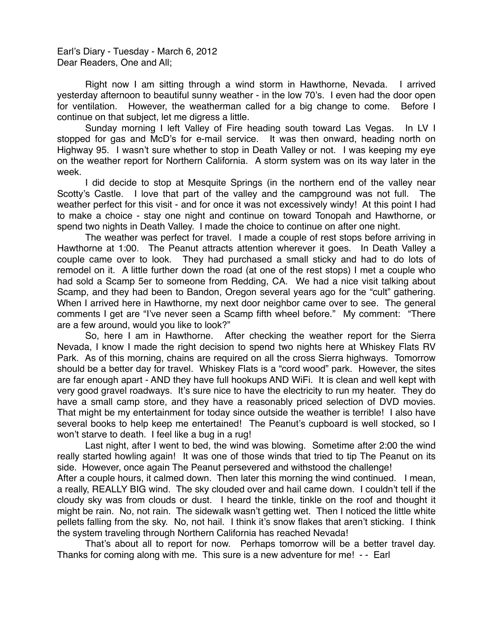Earl's Diary - Tuesday - March 6, 2012 Dear Readers, One and All;

Right now I am sitting through a wind storm in Hawthorne, Nevada. I arrived yesterday afternoon to beautiful sunny weather - in the low 70's. I even had the door open for ventilation. However, the weatherman called for a big change to come. Before I continue on that subject, let me digress a little.

Sunday morning I left Valley of Fire heading south toward Las Vegas. In LV I stopped for gas and McD's for e-mail service. It was then onward, heading north on Highway 95. I wasn't sure whether to stop in Death Valley or not. I was keeping my eye on the weather report for Northern California. A storm system was on its way later in the week.

I did decide to stop at Mesquite Springs (in the northern end of the valley near Scotty's Castle. I love that part of the valley and the campground was not full. The weather perfect for this visit - and for once it was not excessively windy! At this point I had to make a choice - stay one night and continue on toward Tonopah and Hawthorne, or spend two nights in Death Valley. I made the choice to continue on after one night.

The weather was perfect for travel. I made a couple of rest stops before arriving in Hawthorne at 1:00. The Peanut attracts attention wherever it goes. In Death Valley a couple came over to look. They had purchased a small sticky and had to do lots of remodel on it. A little further down the road (at one of the rest stops) I met a couple who had sold a Scamp 5er to someone from Redding, CA. We had a nice visit talking about Scamp, and they had been to Bandon, Oregon several years ago for the "cult" gathering. When I arrived here in Hawthorne, my next door neighbor came over to see. The general comments I get are "I've never seen a Scamp fifth wheel before." My comment: "There are a few around, would you like to look?"

So, here I am in Hawthorne. After checking the weather report for the Sierra Nevada, I know I made the right decision to spend two nights here at Whiskey Flats RV Park. As of this morning, chains are required on all the cross Sierra highways. Tomorrow should be a better day for travel. Whiskey Flats is a "cord wood" park. However, the sites are far enough apart - AND they have full hookups AND WiFi. It is clean and well kept with very good gravel roadways. It's sure nice to have the electricity to run my heater. They do have a small camp store, and they have a reasonably priced selection of DVD movies. That might be my entertainment for today since outside the weather is terrible! I also have several books to help keep me entertained! The Peanut's cupboard is well stocked, so I won't starve to death. I feel like a bug in a rug!

Last night, after I went to bed, the wind was blowing. Sometime after 2:00 the wind really started howling again! It was one of those winds that tried to tip The Peanut on its side. However, once again The Peanut persevered and withstood the challenge!

After a couple hours, it calmed down. Then later this morning the wind continued. I mean, a really, REALLY BIG wind. The sky clouded over and hail came down. I couldn't tell if the cloudy sky was from clouds or dust. I heard the tinkle, tinkle on the roof and thought it might be rain. No, not rain. The sidewalk wasn't getting wet. Then I noticed the little white pellets falling from the sky. No, not hail. I think it's snow flakes that aren't sticking. I think the system traveling through Northern California has reached Nevada!

That's about all to report for now. Perhaps tomorrow will be a better travel day. Thanks for coming along with me. This sure is a new adventure for me! - - Earl